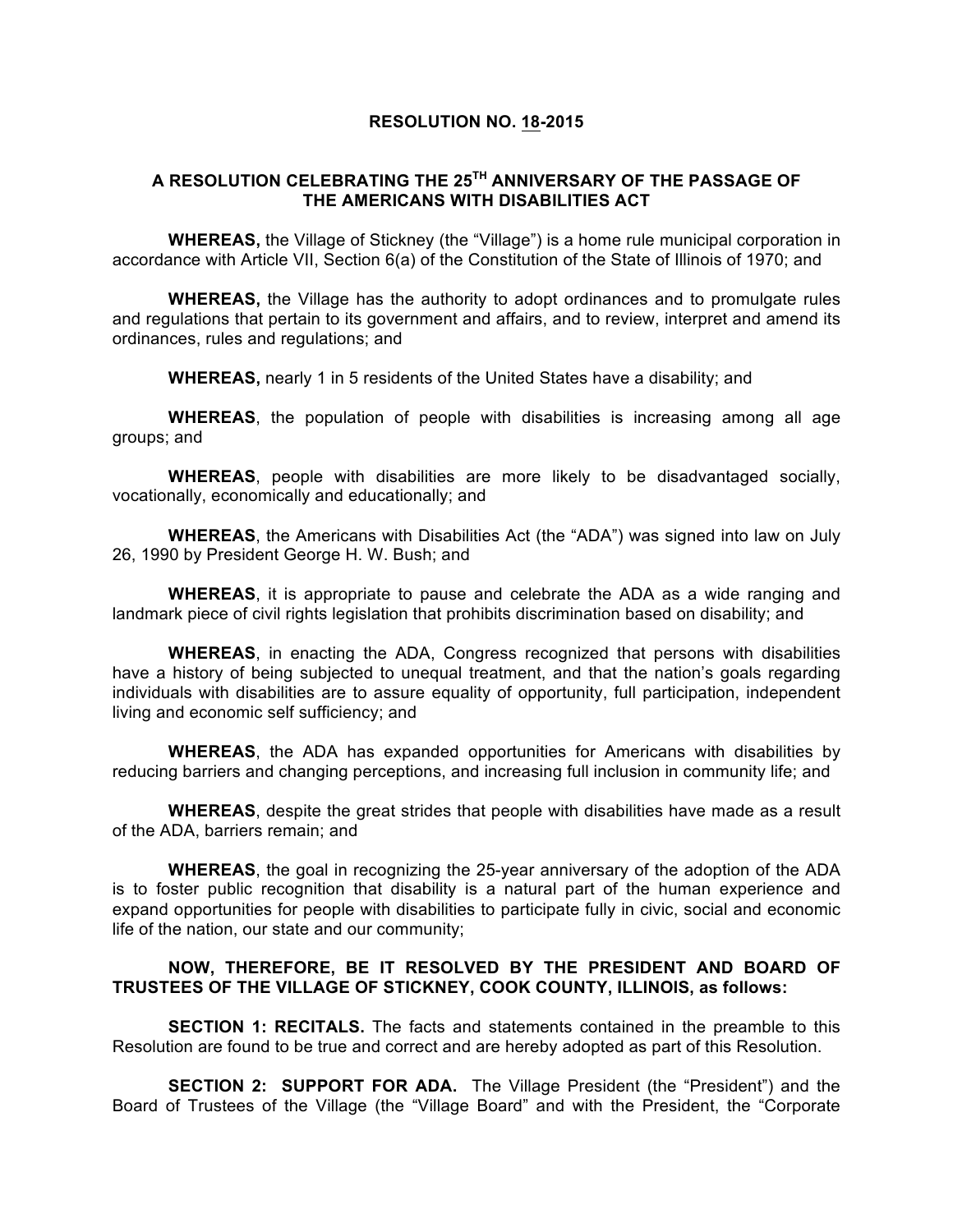## **RESOLUTION NO. 18-2015**

## **A RESOLUTION CELEBRATING THE 25TH ANNIVERSARY OF THE PASSAGE OF THE AMERICANS WITH DISABILITIES ACT**

**WHEREAS,** the Village of Stickney (the "Village") is a home rule municipal corporation in accordance with Article VII, Section 6(a) of the Constitution of the State of Illinois of 1970; and

**WHEREAS,** the Village has the authority to adopt ordinances and to promulgate rules and regulations that pertain to its government and affairs, and to review, interpret and amend its ordinances, rules and regulations; and

**WHEREAS,** nearly 1 in 5 residents of the United States have a disability; and

**WHEREAS**, the population of people with disabilities is increasing among all age groups; and

**WHEREAS**, people with disabilities are more likely to be disadvantaged socially, vocationally, economically and educationally; and

**WHEREAS**, the Americans with Disabilities Act (the "ADA") was signed into law on July 26, 1990 by President George H. W. Bush; and

**WHEREAS**, it is appropriate to pause and celebrate the ADA as a wide ranging and landmark piece of civil rights legislation that prohibits discrimination based on disability; and

**WHEREAS**, in enacting the ADA, Congress recognized that persons with disabilities have a history of being subjected to unequal treatment, and that the nation's goals regarding individuals with disabilities are to assure equality of opportunity, full participation, independent living and economic self sufficiency; and

**WHEREAS**, the ADA has expanded opportunities for Americans with disabilities by reducing barriers and changing perceptions, and increasing full inclusion in community life; and

**WHEREAS**, despite the great strides that people with disabilities have made as a result of the ADA, barriers remain; and

**WHEREAS**, the goal in recognizing the 25-year anniversary of the adoption of the ADA is to foster public recognition that disability is a natural part of the human experience and expand opportunities for people with disabilities to participate fully in civic, social and economic life of the nation, our state and our community;

## **NOW, THEREFORE, BE IT RESOLVED BY THE PRESIDENT AND BOARD OF TRUSTEES OF THE VILLAGE OF STICKNEY, COOK COUNTY, ILLINOIS, as follows:**

**SECTION 1: RECITALS.** The facts and statements contained in the preamble to this Resolution are found to be true and correct and are hereby adopted as part of this Resolution.

**SECTION 2: SUPPORT FOR ADA.** The Village President (the "President") and the Board of Trustees of the Village (the "Village Board" and with the President, the "Corporate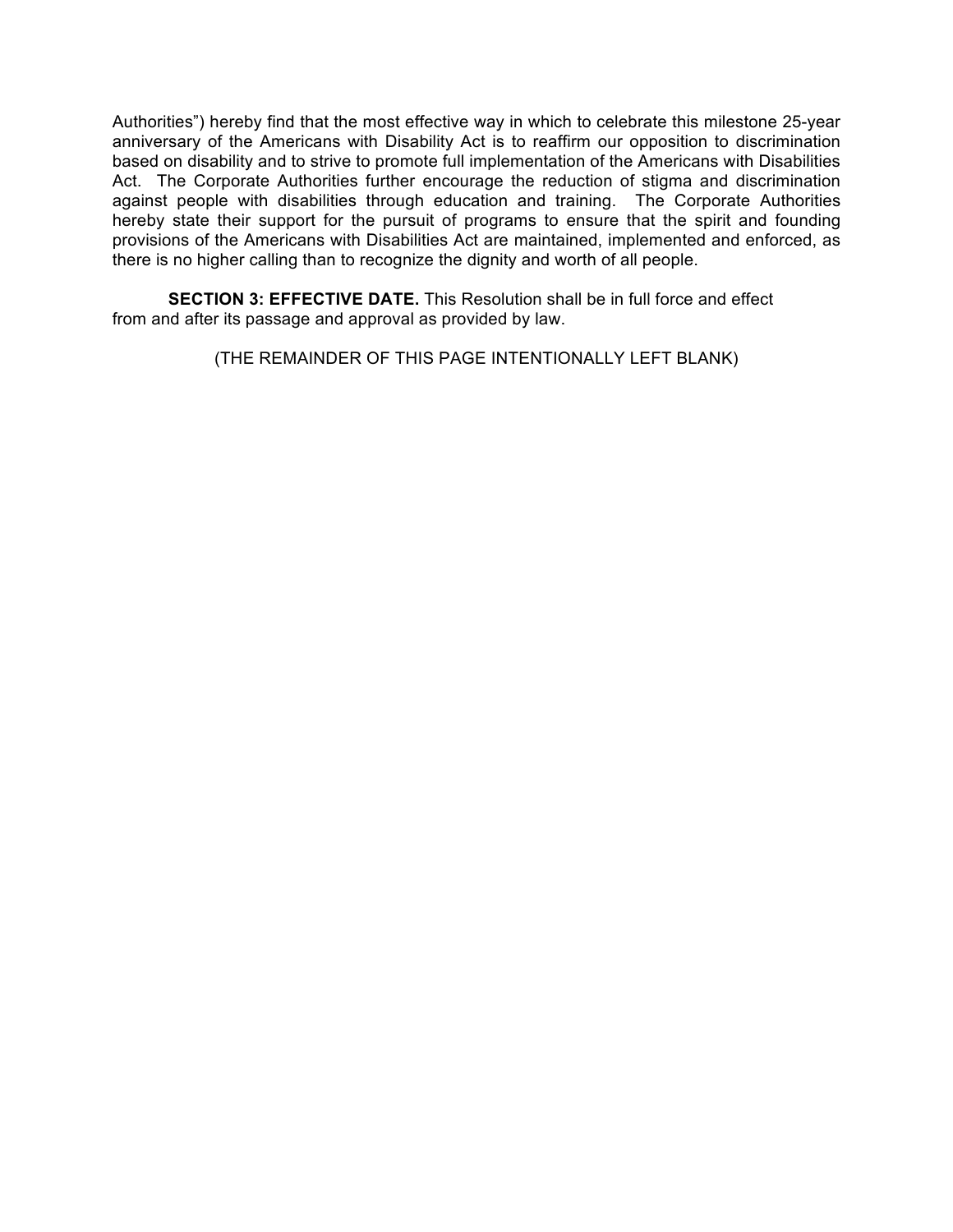Authorities") hereby find that the most effective way in which to celebrate this milestone 25-year anniversary of the Americans with Disability Act is to reaffirm our opposition to discrimination based on disability and to strive to promote full implementation of the Americans with Disabilities Act. The Corporate Authorities further encourage the reduction of stigma and discrimination against people with disabilities through education and training. The Corporate Authorities hereby state their support for the pursuit of programs to ensure that the spirit and founding provisions of the Americans with Disabilities Act are maintained, implemented and enforced, as there is no higher calling than to recognize the dignity and worth of all people.

**SECTION 3: EFFECTIVE DATE.** This Resolution shall be in full force and effect from and after its passage and approval as provided by law.

(THE REMAINDER OF THIS PAGE INTENTIONALLY LEFT BLANK)